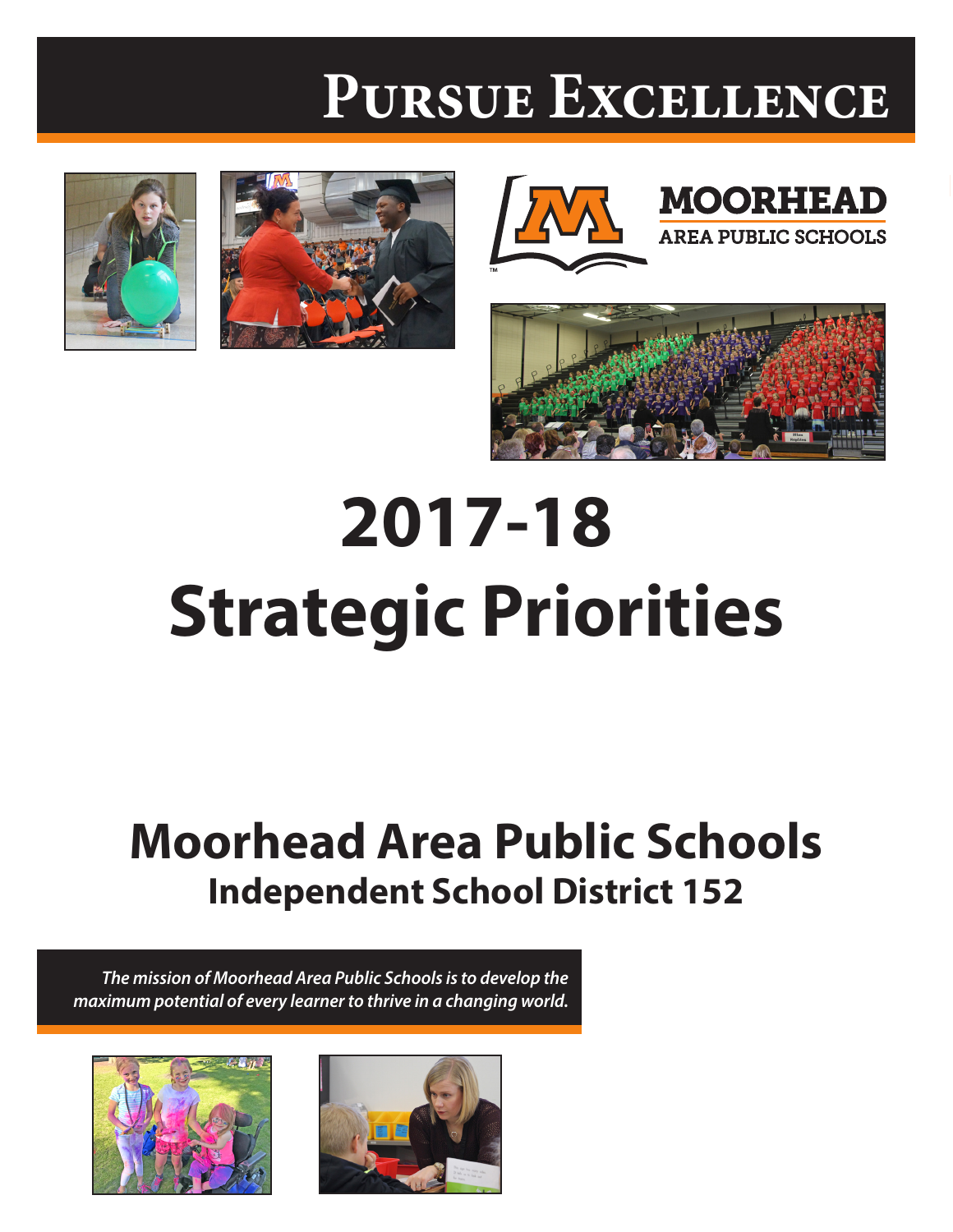# **Pursue Excellence**









**MOORHEAD** 

**AREA PUBLIC SCHOOLS** 

# **2017-18 Strategic Priorities**

# **Moorhead Area Public Schools Independent School District 152**

*The mission of Moorhead Area Public Schools is to develop the maximum potential of every learner to thrive in a changing world.*



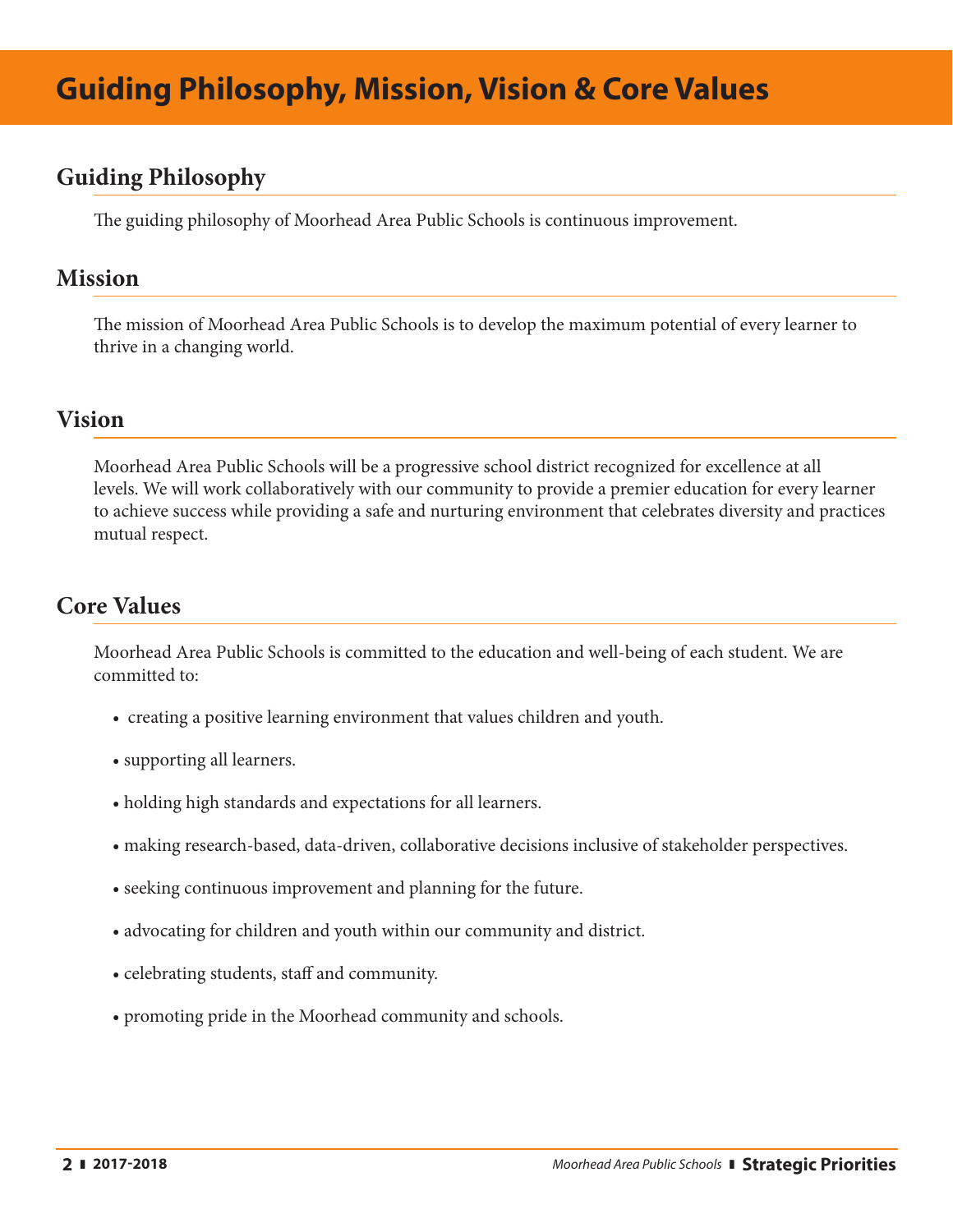#### **Guiding Philosophy**

The guiding philosophy of Moorhead Area Public Schools is continuous improvement.

#### **Mission**

The mission of Moorhead Area Public Schools is to develop the maximum potential of every learner to thrive in a changing world.

#### **Vision**

Moorhead Area Public Schools will be a progressive school district recognized for excellence at all levels. We will work collaboratively with our community to provide a premier education for every learner to achieve success while providing a safe and nurturing environment that celebrates diversity and practices mutual respect.

#### **Core Values**

Moorhead Area Public Schools is committed to the education and well-being of each student. We are committed to:

- creating a positive learning environment that values children and youth.
- supporting all learners.
- holding high standards and expectations for all learners.
- making research-based, data-driven, collaborative decisions inclusive of stakeholder perspectives.
- seeking continuous improvement and planning for the future.
- advocating for children and youth within our community and district.
- celebrating students, staff and community.
- promoting pride in the Moorhead community and schools.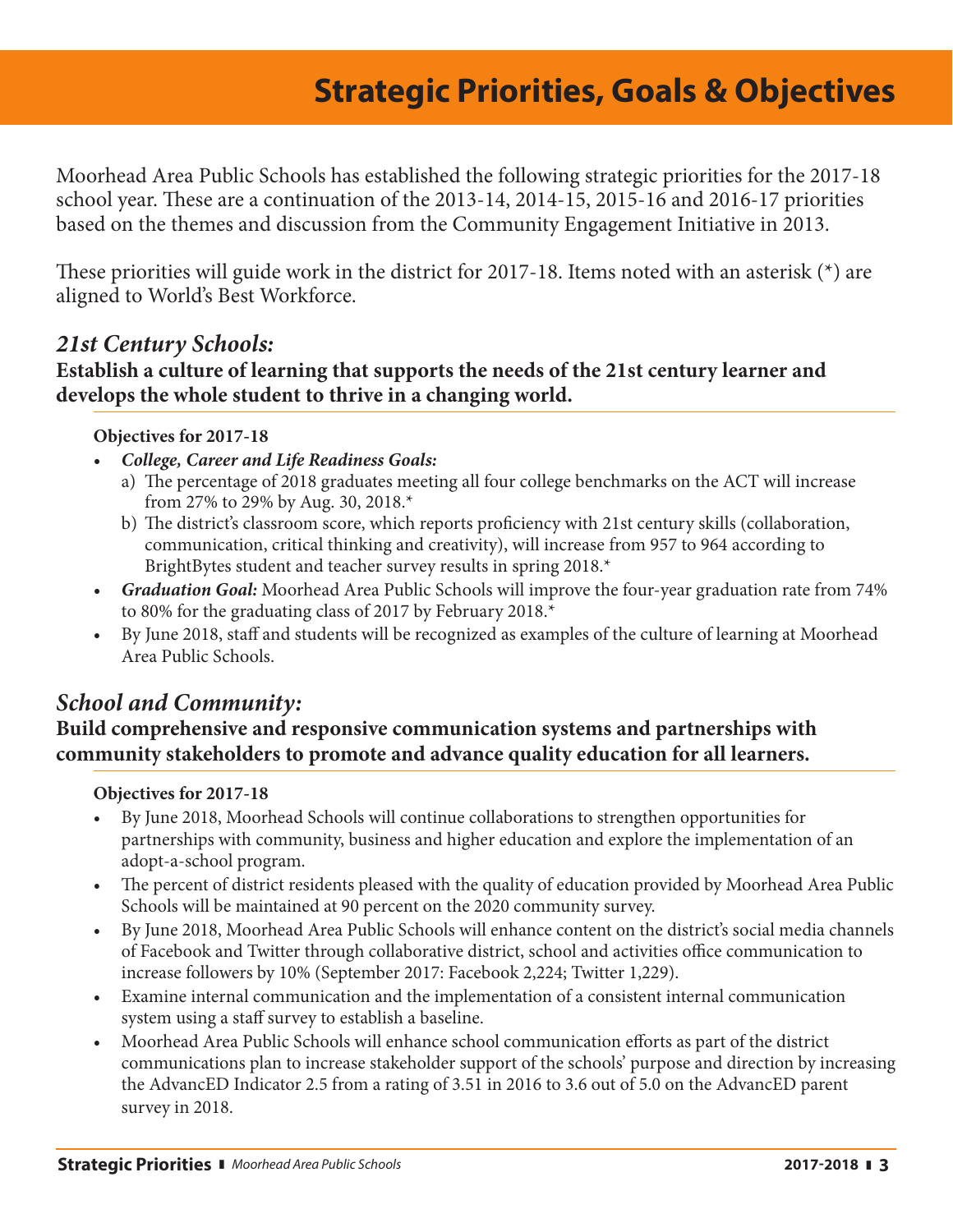### **Strategic Priorities, Goals & Strategies Strategic Priorities, Goals & Objectives**

Moorhead Area Public Schools has established the following strategic priorities for the 2017-18 school year. These are a continuation of the 2013-14, 2014-15, 2015-16 and 2016-17 priorities based on the themes and discussion from the Community Engagement Initiative in 2013.

These priorities will guide work in the district for 2017-18. Items noted with an asterisk (\*) are aligned to World's Best Workforce.

#### *21st Century Schools:*

#### **Establish a culture of learning that supports the needs of the 21st century learner and develops the whole student to thrive in a changing world.**

#### **Objectives for 2017-18**

- *• College, Career and Life Readiness Goals:*
	- a) The percentage of 2018 graduates meeting all four college benchmarks on the ACT will increase from 27% to 29% by Aug. 30, 2018.\*
	- b) The district's classroom score, which reports proficiency with 21st century skills (collaboration, communication, critical thinking and creativity), will increase from 957 to 964 according to BrightBytes student and teacher survey results in spring 2018.\*
- *• Graduation Goal:* Moorhead Area Public Schools will improve the four-year graduation rate from 74% to 80% for the graduating class of 2017 by February 2018.\*
- • By June 2018, staff and students will be recognized as examples of the culture of learning at Moorhead Area Public Schools.

#### *School and Community:*

#### **Build comprehensive and responsive communication systems and partnerships with community stakeholders to promote and advance quality education for all learners.**

#### **Objectives for 2017-18**

- • By June 2018, Moorhead Schools will continue collaborations to strengthen opportunities for partnerships with community, business and higher education and explore the implementation of an adopt-a-school program.
- The percent of district residents pleased with the quality of education provided by Moorhead Area Public Schools will be maintained at 90 percent on the 2020 community survey.
- • By June 2018, Moorhead Area Public Schools will enhance content on the district's social media channels of Facebook and Twitter through collaborative district, school and activities office communication to increase followers by 10% (September 2017: Facebook 2,224; Twitter 1,229).
- • Examine internal communication and the implementation of a consistent internal communication system using a staff survey to establish a baseline.
- • Moorhead Area Public Schools will enhance school communication efforts as part of the district communications plan to increase stakeholder support of the schools' purpose and direction by increasing the AdvancED Indicator 2.5 from a rating of 3.51 in 2016 to 3.6 out of 5.0 on the AdvancED parent survey in 2018.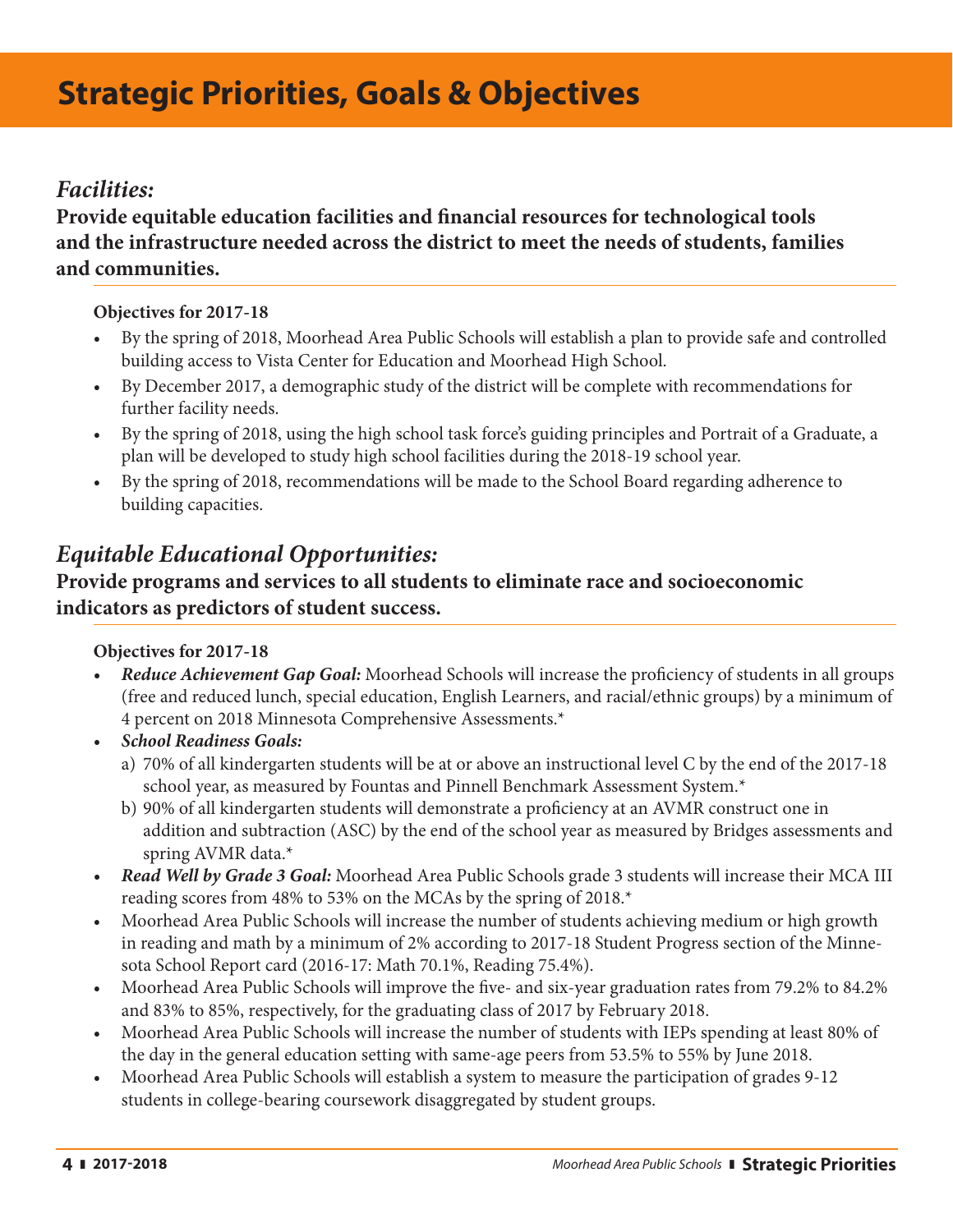## **Strategic Priorities, Goals & Objectives**

#### *Facilities:*

#### **Provide equitable education facilities and financial resources for technological tools and the infrastructure needed across the district to meet the needs of students, families and communities.**

#### **Objectives for 2017-18**

- • By the spring of 2018, Moorhead Area Public Schools will establish a plan to provide safe and controlled building access to Vista Center for Education and Moorhead High School.
- • By December 2017, a demographic study of the district will be complete with recommendations for further facility needs.
- • By the spring of 2018, using the high school task force's guiding principles and Portrait of a Graduate, a plan will be developed to study high school facilities during the 2018-19 school year.
- • By the spring of 2018, recommendations will be made to the School Board regarding adherence to building capacities.

#### *Equitable Educational Opportunities:*

#### **Provide programs and services to all students to eliminate race and socioeconomic indicators as predictors of student success.**

#### **Objectives for 2017-18**

- *Reduce Achievement Gap Goal:* Moorhead Schools will increase the proficiency of students in all groups (free and reduced lunch, special education, English Learners, and racial/ethnic groups) by a minimum of 4 percent on 2018 Minnesota Comprehensive Assessments.\*
- *• School Readiness Goals:*
	- a) 70% of all kindergarten students will be at or above an instructional level C by the end of the 2017-18 school year, as measured by Fountas and Pinnell Benchmark Assessment System.\*
	- b) 90% of all kindergarten students will demonstrate a proficiency at an AVMR construct one in addition and subtraction (ASC) by the end of the school year as measured by Bridges assessments and spring AVMR data.\*
- *• Read Well by Grade 3 Goal:* Moorhead Area Public Schools grade 3 students will increase their MCA III reading scores from 48% to 53% on the MCAs by the spring of 2018.\*
- Moorhead Area Public Schools will increase the number of students achieving medium or high growth in reading and math by a minimum of 2% according to 2017-18 Student Progress section of the Minnesota School Report card (2016-17: Math 70.1%, Reading 75.4%).
- Moorhead Area Public Schools will improve the five- and six-year graduation rates from 79.2% to 84.2% and 83% to 85%, respectively, for the graduating class of 2017 by February 2018.
- Moorhead Area Public Schools will increase the number of students with IEPs spending at least 80% of the day in the general education setting with same-age peers from 53.5% to 55% by June 2018.
- Moorhead Area Public Schools will establish a system to measure the participation of grades 9-12 students in college-bearing coursework disaggregated by student groups.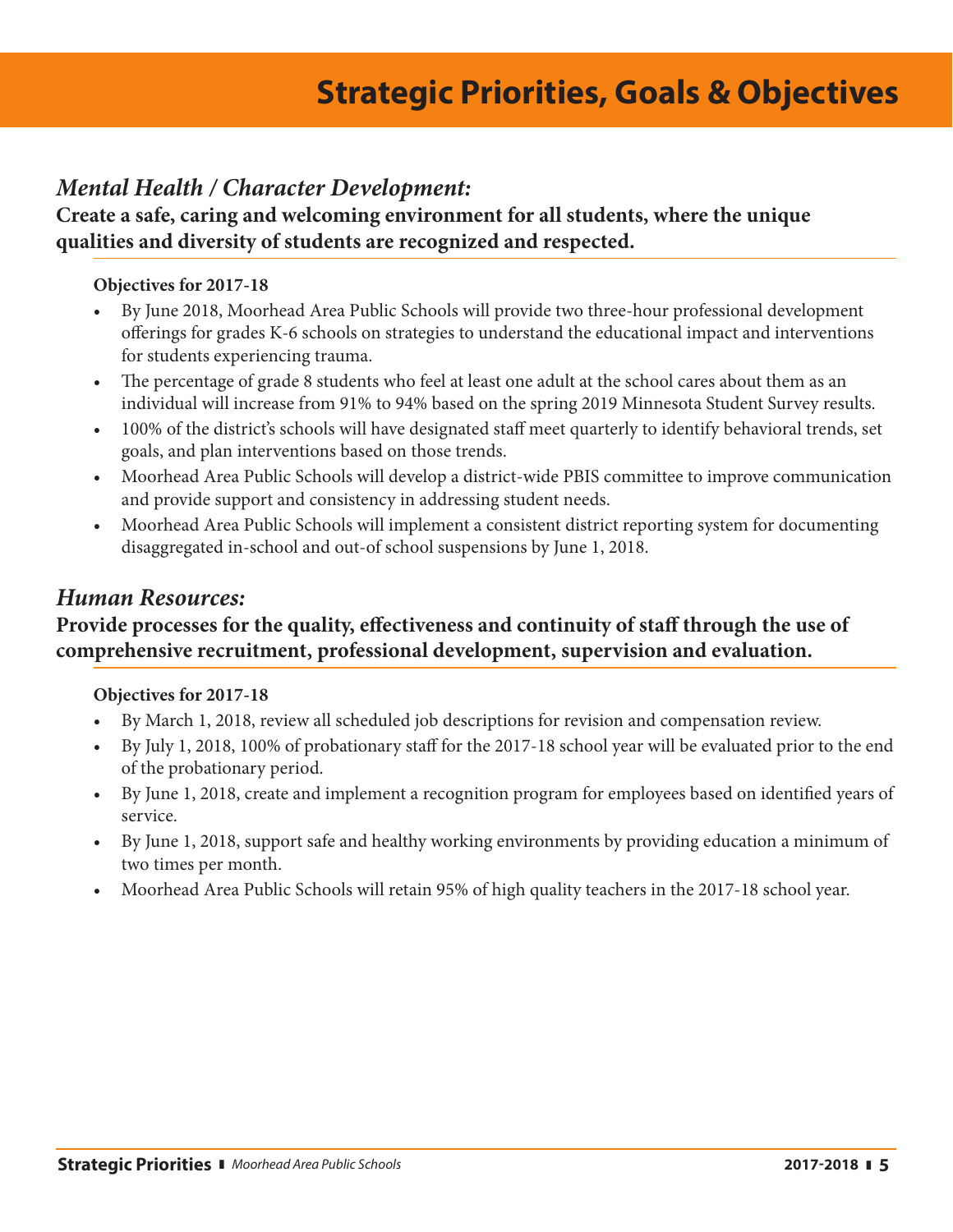## **Strategic Priorities, Goals & Objectives**

#### *Mental Health / Character Development:*

**Create a safe, caring and welcoming environment for all students, where the unique qualities and diversity of students are recognized and respected.** 

#### **Objectives for 2017-18**

- • By June 2018, Moorhead Area Public Schools will provide two three-hour professional development offerings for grades K-6 schools on strategies to understand the educational impact and interventions for students experiencing trauma.
- The percentage of grade 8 students who feel at least one adult at the school cares about them as an individual will increase from 91% to 94% based on the spring 2019 Minnesota Student Survey results.
- 100% of the district's schools will have designated staff meet quarterly to identify behavioral trends, set goals, and plan interventions based on those trends.
- • Moorhead Area Public Schools will develop a district-wide PBIS committee to improve communication and provide support and consistency in addressing student needs.
- • Moorhead Area Public Schools will implement a consistent district reporting system for documenting disaggregated in-school and out-of school suspensions by June 1, 2018.

#### *Human Resources:*

#### **Provide processes for the quality, effectiveness and continuity of staff through the use of comprehensive recruitment, professional development, supervision and evaluation.**

#### **Objectives for 2017-18**

- • By March 1, 2018, review all scheduled job descriptions for revision and compensation review.
- • By July 1, 2018, 100% of probationary staff for the 2017-18 school year will be evaluated prior to the end of the probationary period.
- • By June 1, 2018, create and implement a recognition program for employees based on identified years of service.
- • By June 1, 2018, support safe and healthy working environments by providing education a minimum of two times per month.
- Moorhead Area Public Schools will retain 95% of high quality teachers in the 2017-18 school year.